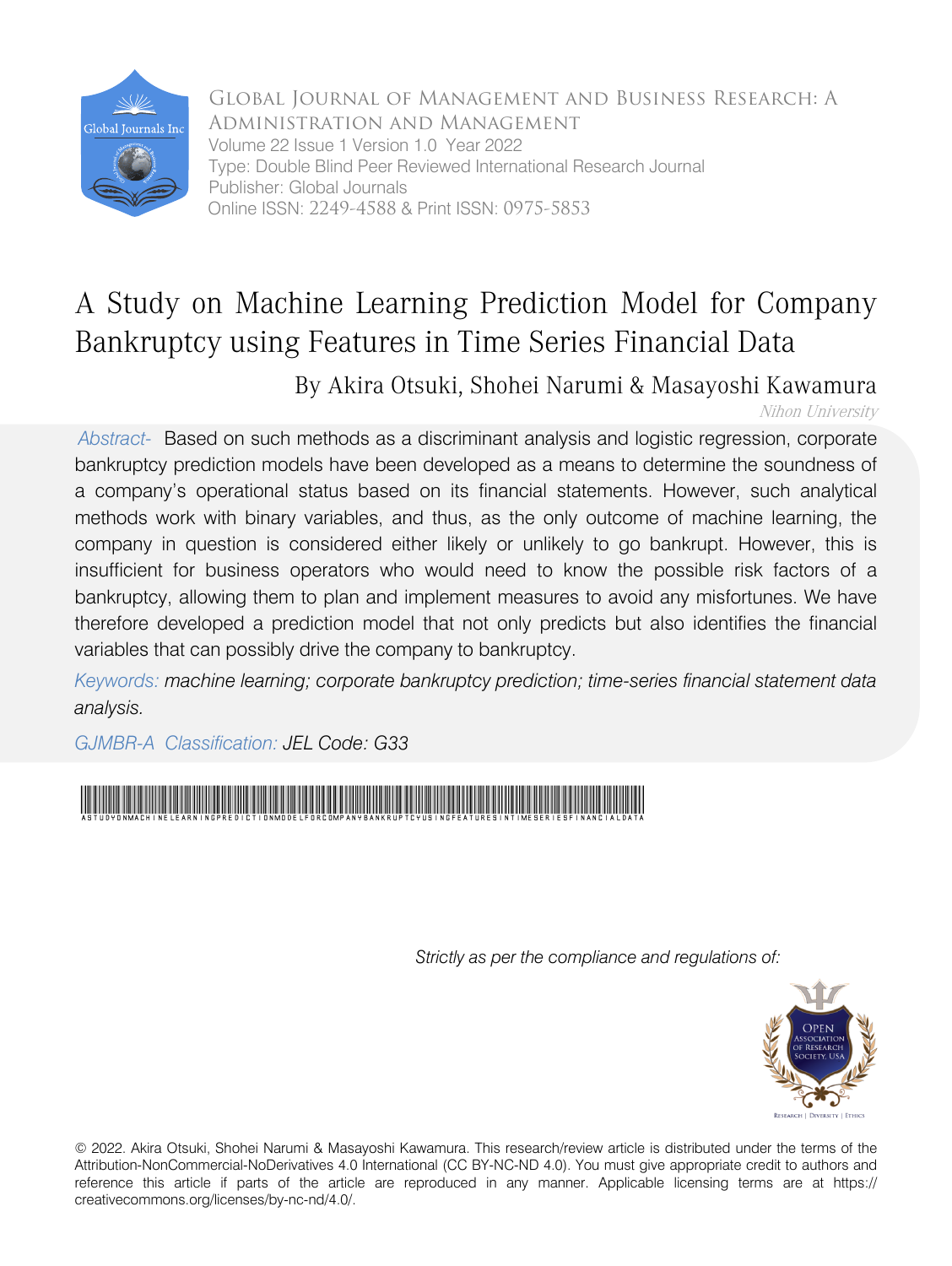

Global Journal of Management and Business Research: A Administration and Management Volume 22 Issue 1 Version 1.0 Year 2022 Type: Double Blind Peer Reviewed International Research Journal Publisher: Global Journals Online ISSN: 2249-4588 & Print ISSN: 0975-5853

## A Study on Machine Learning Prediction Model for Company Bankruptcy using Features in Time Series Financial Data

By Akira Otsuki, Shohei Narumi & Masayoshi Kawamura

Nihon University

*Abstract-* Based on such methods as a discriminant analysis and logistic regression, corporate bankruptcy prediction models have been developed as a means to determine the soundness of a company's operational status based on its financial statements. However, such analytical methods work with binary variables, and thus, as the only outcome of machine learning, the company in question is considered either likely or unlikely to go bankrupt. However, this is insufficient for business operators who would need to know the possible risk factors of a bankruptcy, allowing them to plan and implement measures to avoid any misfortunes. We have therefore developed a prediction model that not only predicts but also identifies the financial variables that can possibly drive the company to bankruptcy.

*Keywords: machine learning; corporate bankruptcy prediction; time-series financial statement data analysis.*

*GJMBR-A Classification: JEL Code: G33*



*Strictly as per the compliance and regulations of:*



© 2022. Akira Otsuki, Shohei Narumi & Masayoshi Kawamura. This research/review article is distributed under the terms of the Attribution-NonCommercial-NoDerivatives 4.0 International (CC BY-NC-ND 4.0). You must give appropriate credit to authors and reference this article if parts of the article are reproduced in any manner. Applicable licensing terms are at https:// creativecommons.org/licenses/by-nc-nd/4.0/.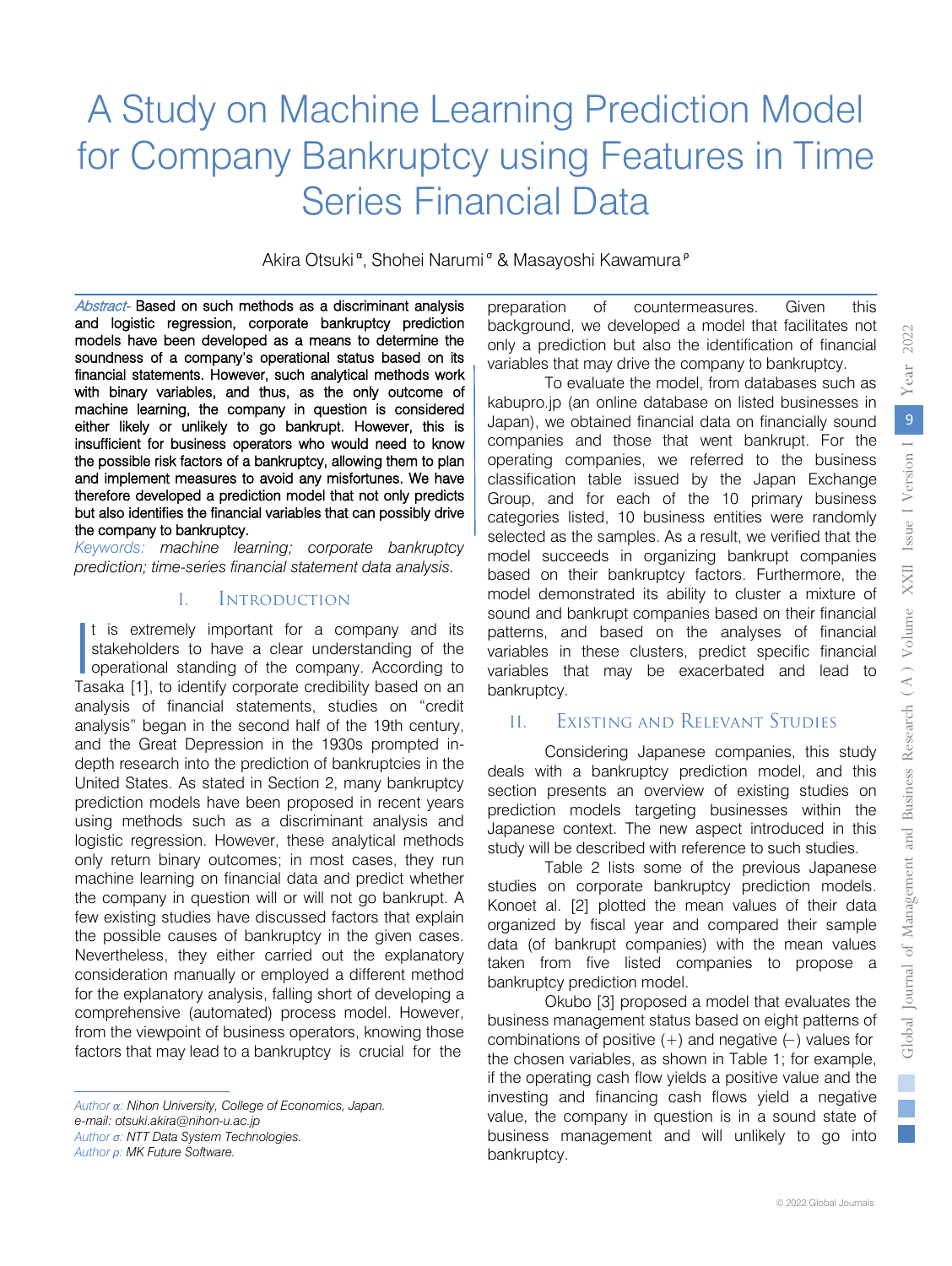# A Study on Machine Learning Prediction Model for Company Bankruptcy using Features in Time Series Financial Data

Akira Otsuki<sup>α</sup>, Shohei Narumi<sup>σ</sup> & Masayoshi Kawamura<sup>ρ</sup>

Abstract- Based on such methods as a discriminant analysis and logistic regression, corporate bankruptcy prediction models have been developed as a means to determine the soundness of a company's operational status based on its financial statements. However, such analytical methods work with binary variables, and thus, as the only outcome of machine learning, the company in question is considered either likely or unlikely to go bankrupt. However, this is insufficient for business operators who would need to know the possible risk factors of a bankruptcy, allowing them to plan and implement measures to avoid any misfortunes. We have therefore developed a prediction model that not only predicts but also identifies the financial variables that can possibly drive the company to bankruptcy.

*Keywords: machine learning; corporate bankruptcy prediction; time-series financial statement data analysis.*

#### I. Introduction

It is extremely important for a company and its stakeholders to have a clear understanding of the It is extremely important for a company and its<br>stakeholders to have a clear understanding of the<br>operational standing of the company. According to<br>Tasaka [1] to identify corporate credibility based on an Tasaka [1], to identify corporate credibility based on an analysis of financial statements, studies on "credit analysis" began in the second half of the 19th century, and the Great Depression in the 1930s prompted indepth research into the prediction of bankruptcies in the United States. As stated in Section 2, many bankruptcy prediction models have been proposed in recent years using methods such as a discriminant analysis and logistic regression. However, these analytical methods only return binary outcomes; in most cases, they run machine learning on financial data and predict whether the company in question will or will not go bankrupt. A few existing studies have discussed factors that explain the possible causes of bankruptcy in the given cases. Nevertheless, they either carried out the explanatory consideration manually or employed a different method for the explanatory analysis, falling short of developing a comprehensive (automated) process model. However, from the viewpoint of business operators, knowing those factors that may lead to a bankruptcy is crucial for the

*Author σ: NTT Data System Technologies.*

*Author ρ: MK Future Software.*

preparation of countermeasures. Given this background, we developed a model that facilitates not only a prediction but also the identification of financial variables that may drive the company to bankruptcy.

To evaluate the model, from databases such as kabupro.jp (an online database on listed businesses in Japan), we obtained financial data on financially sound companies and those that went bankrupt. For the operating companies, we referred to the business classification table issued by the Japan Exchange Group, and for each of the 10 primary business categories listed, 10 business entities were randomly selected as the samples. As a result, we verified that the model succeeds in organizing bankrupt companies based on their bankruptcy factors. Furthermore, the model demonstrated its ability to cluster a mixture of sound and bankrupt companies based on their financial patterns, and based on the analyses of financial variables in these clusters, predict specific financial variables that may be exacerbated and lead to bankruptcy.

## II. Existing and Relevant Studies

Considering Japanese companies, this study deals with a bankruptcy prediction model, and this section presents an overview of existing studies on prediction models targeting businesses within the Japanese context. The new aspect introduced in this study will be described with reference to such studies.

Table 2 lists some of the previous Japanese studies on corporate bankruptcy prediction models. Konoet al. [2] plotted the mean values of their data organized by fiscal year and compared their sample data (of bankrupt companies) with the mean values taken from five listed companies to propose a bankruptcy prediction model.

Okubo [3] proposed a model that evaluates the business management status based on eight patterns of combinations of positive (+) and negative (−) values for the chosen variables, as shown in Table 1; for example, if the operating cash flow yields a positive value and the investing and financing cash flows yield a negative value, the company in question is in a sound state of business management and will unlikely to go into bankruptcy.

*Author α: Nihon University, College of Economics, Japan. e-mail: otsuki.akira@nihon-u.ac.jp*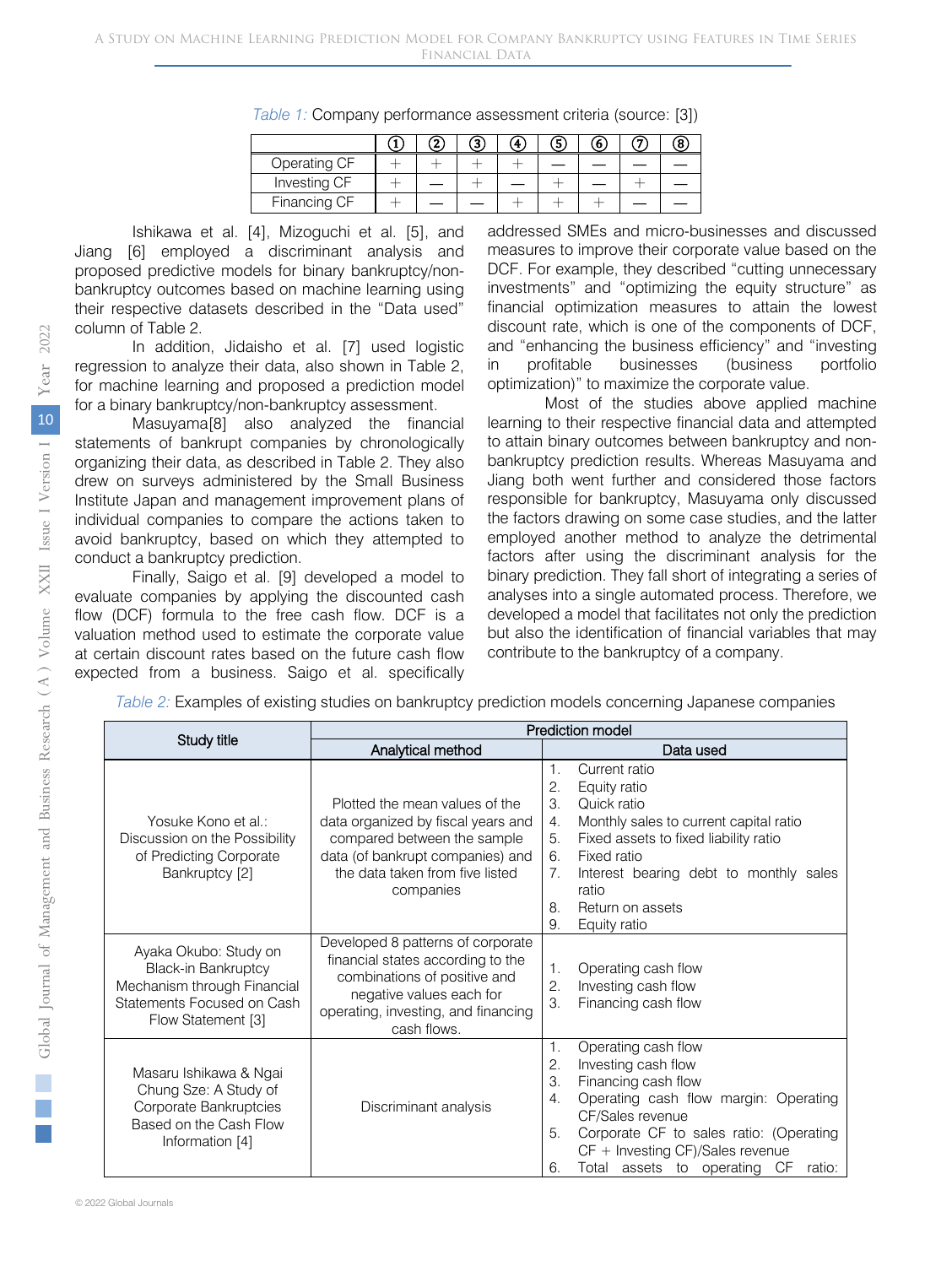| Table 1: Company performance assessment criteria (source: [3]) |  |  |  |
|----------------------------------------------------------------|--|--|--|
|----------------------------------------------------------------|--|--|--|

|              |  | Ð |  |  |  |
|--------------|--|---|--|--|--|
| Operating CF |  |   |  |  |  |
| Investing CF |  |   |  |  |  |
| Financing CF |  |   |  |  |  |

Ishikawa et al. [4], Mizoguchi et al. [5], and Jiang [6] employed a discriminant analysis and proposed predictive models for binary bankruptcy/nonbankruptcy outcomes based on machine learning using their respective datasets described in the "Data used" column of Table 2.

In addition, Jidaisho et al. [7] used logistic regression to analyze their data, also shown in Table 2, for machine learning and proposed a prediction model for a binary bankruptcy/non-bankruptcy assessment.

Masuyama[8] also analyzed the financial statements of bankrupt companies by chronologically organizing their data, as described in Table 2. They also drew on surveys administered by the Small Business Institute Japan and management improvement plans of individual companies to compare the actions taken to avoid bankruptcy, based on which they attempted to conduct a bankruptcy prediction.

Finally, Saigo et al. [9] developed a model to evaluate companies by applying the discounted cash flow (DCF) formula to the free cash flow. DCF is a valuation method used to estimate the corporate value at certain discount rates based on the future cash flow expected from a business. Saigo et al. specifically

addressed SMEs and micro-businesses and discussed measures to improve their corporate value based on the DCF. For example, they described "cutting unnecessary investments" and "optimizing the equity structure" as financial optimization measures to attain the lowest discount rate, which is one of the components of DCF, and "enhancing the business efficiency" and "investing in profitable businesses (business portfolio optimization)" to maximize the corporate value.

Most of the studies above applied machine learning to their respective financial data and attempted to attain binary outcomes between bankruptcy and nonbankruptcy prediction results. Whereas Masuyama and Jiang both went further and considered those factors responsible for bankruptcy, Masuyama only discussed the factors drawing on some case studies, and the latter employed another method to analyze the detrimental factors after using the discriminant analysis for the binary prediction. They fall short of integrating a series of analyses into a single automated process. Therefore, we developed a model that facilitates not only the prediction but also the identification of financial variables that may contribute to the bankruptcy of a company.

*Table 2:* Examples of existing studies on bankruptcy prediction models concerning Japanese companies

|                                                                                                                                        | Prediction model                                                                                                                                                                         |                                                                                                                                                                                                                                                                                                 |  |  |
|----------------------------------------------------------------------------------------------------------------------------------------|------------------------------------------------------------------------------------------------------------------------------------------------------------------------------------------|-------------------------------------------------------------------------------------------------------------------------------------------------------------------------------------------------------------------------------------------------------------------------------------------------|--|--|
| Study title                                                                                                                            | Analytical method                                                                                                                                                                        | Data used                                                                                                                                                                                                                                                                                       |  |  |
| Yosuke Kono et al.:<br>Discussion on the Possibility<br>of Predicting Corporate<br>Bankruptcy [2]                                      | Plotted the mean values of the<br>data organized by fiscal years and<br>compared between the sample<br>data (of bankrupt companies) and<br>the data taken from five listed<br>companies  | Current ratio<br>1.<br>2.<br>Equity ratio<br>3.<br>Quick ratio<br>Monthly sales to current capital ratio<br>4.<br>Fixed assets to fixed liability ratio<br>5.<br>Fixed ratio<br>6.<br>Interest bearing debt to monthly sales<br>7.<br>ratio<br>Return on assets<br>8.<br>9.<br>Equity ratio     |  |  |
| Ayaka Okubo: Study on<br><b>Black-in Bankruptcy</b><br>Mechanism through Financial<br>Statements Focused on Cash<br>Flow Statement [3] | Developed 8 patterns of corporate<br>financial states according to the<br>combinations of positive and<br>negative values each for<br>operating, investing, and financing<br>cash flows. | Operating cash flow<br>1.<br>Investing cash flow<br>2.<br>3.<br>Financing cash flow                                                                                                                                                                                                             |  |  |
| Masaru Ishikawa & Ngai<br>Chung Sze: A Study of<br>Corporate Bankruptcies<br>Based on the Cash Flow<br>Information [4]                 | Discriminant analysis                                                                                                                                                                    | Operating cash flow<br>1.<br>Investing cash flow<br>2.<br>Financing cash flow<br>3.<br>Operating cash flow margin: Operating<br>4.<br>CF/Sales revenue<br>Corporate CF to sales ratio: (Operating<br>5.<br>$CF +$ Investing $CF)/Sales$ revenue<br>Total assets to operating CF<br>6.<br>ratio: |  |  |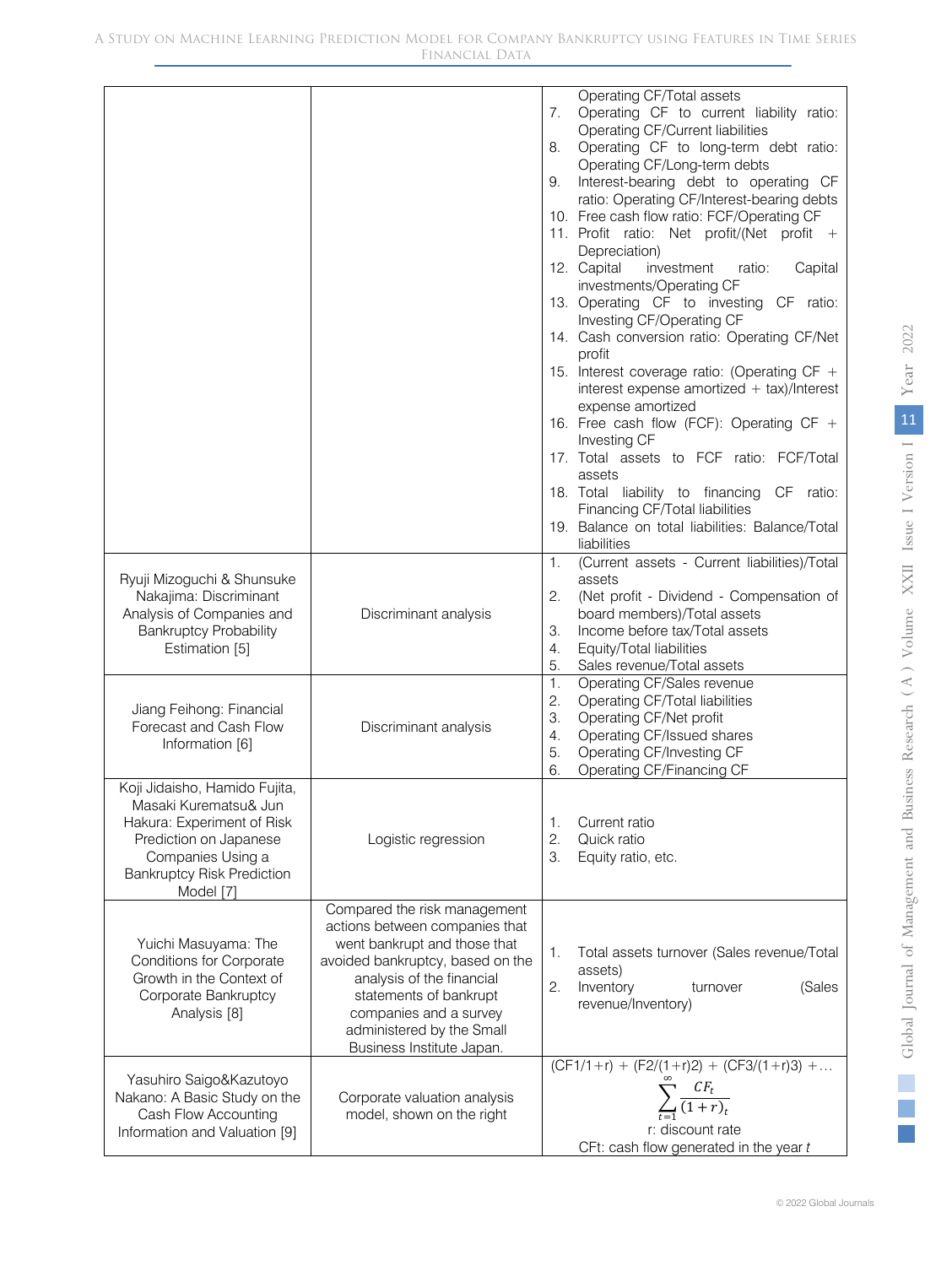|                                                                                                                                                                                       |                                                                                                                                                                                                                                                                               | Operating CF/Total assets<br>Operating CF to current liability ratio:<br>7.<br>Operating CF/Current liabilities<br>Operating CF to long-term debt ratio:<br>8.<br>Operating CF/Long-term debts<br>Interest-bearing debt to operating CF<br>9.<br>ratio: Operating CF/Interest-bearing debts<br>10. Free cash flow ratio: FCF/Operating CF<br>11. Profit ratio: Net profit/(Net profit +<br>Depreciation)<br>12. Capital<br>investment<br>ratio:<br>Capital<br>investments/Operating CF<br>13. Operating CF to investing CF ratio:<br>Investing CF/Operating CF<br>14. Cash conversion ratio: Operating CF/Net<br>profit<br>15. Interest coverage ratio: (Operating CF +<br>interest expense amortized $+$ tax)/Interest<br>expense amortized<br>16. Free cash flow (FCF): Operating CF + |
|---------------------------------------------------------------------------------------------------------------------------------------------------------------------------------------|-------------------------------------------------------------------------------------------------------------------------------------------------------------------------------------------------------------------------------------------------------------------------------|------------------------------------------------------------------------------------------------------------------------------------------------------------------------------------------------------------------------------------------------------------------------------------------------------------------------------------------------------------------------------------------------------------------------------------------------------------------------------------------------------------------------------------------------------------------------------------------------------------------------------------------------------------------------------------------------------------------------------------------------------------------------------------------|
|                                                                                                                                                                                       |                                                                                                                                                                                                                                                                               | Investing CF<br>17. Total assets to FCF ratio: FCF/Total<br>assets<br>18. Total liability to financing CF ratio:<br>Financing CF/Total liabilities<br>19. Balance on total liabilities: Balance/Total<br>liabilities                                                                                                                                                                                                                                                                                                                                                                                                                                                                                                                                                                     |
| Ryuji Mizoguchi & Shunsuke<br>Nakajima: Discriminant<br>Analysis of Companies and<br><b>Bankruptcy Probability</b><br>Estimation [5]                                                  | Discriminant analysis                                                                                                                                                                                                                                                         | (Current assets - Current liabilities)/Total<br>1.<br>assets<br>2.<br>(Net profit - Dividend - Compensation of<br>board members)/Total assets<br>Income before tax/Total assets<br>З.<br>Equity/Total liabilities<br>4.<br>5.<br>Sales revenue/Total assets                                                                                                                                                                                                                                                                                                                                                                                                                                                                                                                              |
| Jiang Feihong: Financial<br>Forecast and Cash Flow<br>Information [6]                                                                                                                 | Discriminant analysis                                                                                                                                                                                                                                                         | 1.<br>Operating CF/Sales revenue<br>2.<br>Operating CF/Total liabilities<br>З.<br>Operating CF/Net profit<br>Operating CF/Issued shares<br>4.<br>Operating CF/Investing CF<br>5.<br>6.<br>Operating CF/Financing CF                                                                                                                                                                                                                                                                                                                                                                                                                                                                                                                                                                      |
| Koji Jidaisho, Hamido Fujita,<br>Masaki Kurematsu& Jun<br>Hakura: Experiment of Risk<br>Prediction on Japanese<br>Companies Using a<br><b>Bankruptcy Risk Prediction</b><br>Model [7] | Logistic regression                                                                                                                                                                                                                                                           | Current ratio<br>1.<br>2.<br>Quick ratio<br>З.<br>Equity ratio, etc.                                                                                                                                                                                                                                                                                                                                                                                                                                                                                                                                                                                                                                                                                                                     |
| Yuichi Masuyama: The<br><b>Conditions for Corporate</b><br>Growth in the Context of<br>Corporate Bankruptcy<br>Analysis [8]                                                           | Compared the risk management<br>actions between companies that<br>went bankrupt and those that<br>avoided bankruptcy, based on the<br>analysis of the financial<br>statements of bankrupt<br>companies and a survey<br>administered by the Small<br>Business Institute Japan. | Total assets turnover (Sales revenue/Total<br>1.<br>assets)<br>2.<br>Inventory<br>(Sales<br>turnover<br>revenue/Inventory)                                                                                                                                                                                                                                                                                                                                                                                                                                                                                                                                                                                                                                                               |
| Yasuhiro Saigo&Kazutoyo<br>Nakano: A Basic Study on the<br>Cash Flow Accounting<br>Information and Valuation [9]                                                                      | Corporate valuation analysis<br>model, shown on the right                                                                                                                                                                                                                     | $(CF1/1+r) + (F2/(1+r)2) + (CF3/(1+r)3) + $<br>$\sum_{t=1}^{\infty} \frac{CF_t}{(1+r)_t}$<br>r: discount rate<br>CFt: cash flow generated in the year t                                                                                                                                                                                                                                                                                                                                                                                                                                                                                                                                                                                                                                  |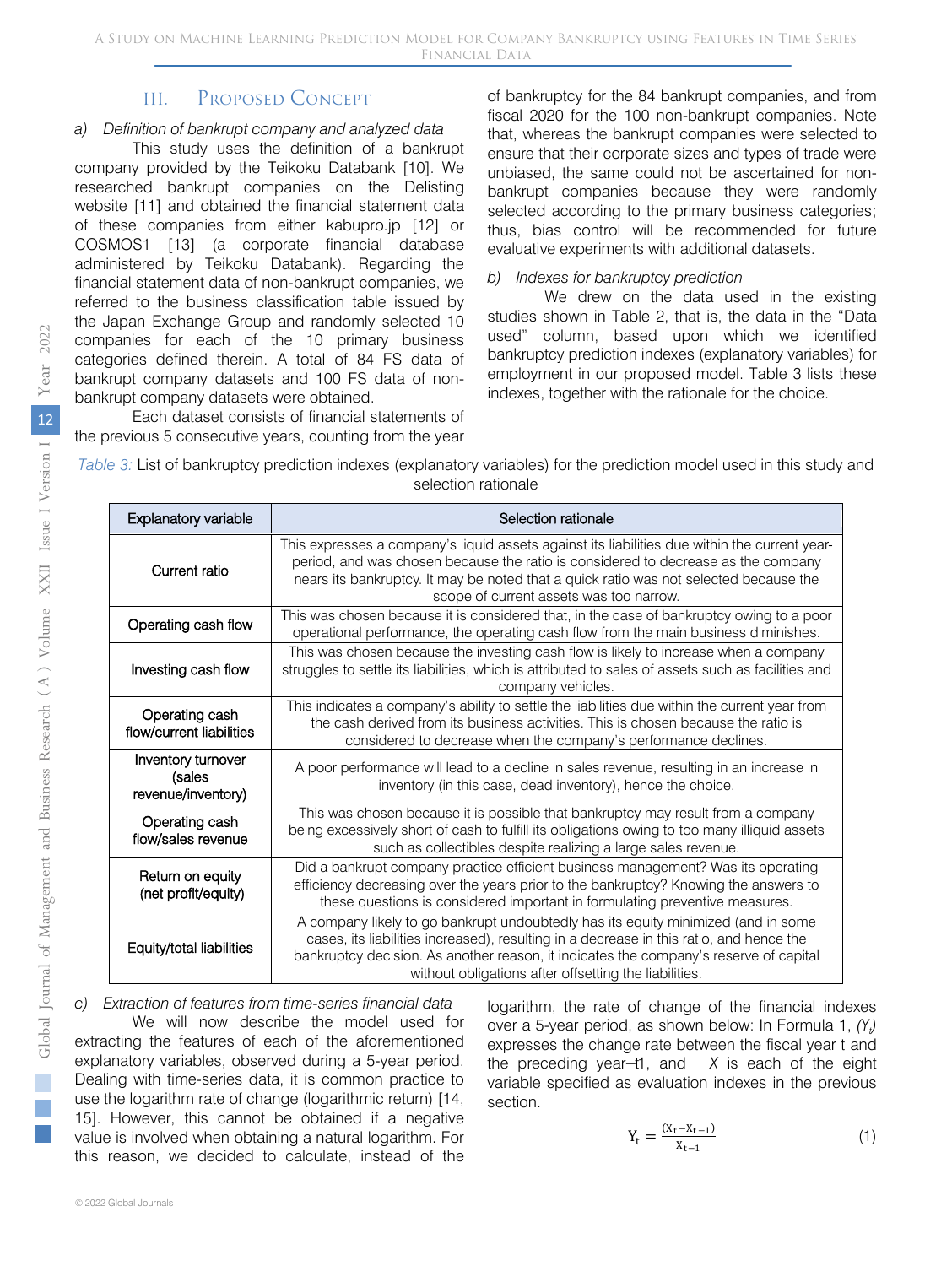## III. Proposed Concept

#### *a) Definition of bankrupt company and analyzed data*

This study uses the definition of a bankrupt company provided by the Teikoku Databank [10]. We researched bankrupt companies on the Delisting website [11] and obtained the financial statement data of these companies from either kabupro.jp [12] or COSMOS1 [13] (a corporate financial database administered by Teikoku Databank). Regarding the financial statement data of non-bankrupt companies, we referred to the business classification table issued by the Japan Exchange Group and randomly selected 10 companies for each of the 10 primary business categories defined therein. A total of 84 FS data of bankrupt company datasets and 100 FS data of nonbankrupt company datasets were obtained.

Each dataset consists of financial statements of the previous 5 consecutive years, counting from the year of bankruptcy for the 84 bankrupt companies, and from fiscal 2020 for the 100 non-bankrupt companies. Note that, whereas the bankrupt companies were selected to ensure that their corporate sizes and types of trade were unbiased, the same could not be ascertained for nonbankrupt companies because they were randomly selected according to the primary business categories; thus, bias control will be recommended for future evaluative experiments with additional datasets.

#### *b) Indexes for bankruptcy prediction*

We drew on the data used in the existing studies shown in Table 2, that is, the data in the "Data used" column, based upon which we identified bankruptcy prediction indexes (explanatory variables) for employment in our proposed model. Table 3 lists these indexes, together with the rationale for the choice.

| Table 3: List of bankruptcy prediction indexes (explanatory variables) for the prediction model used in this study and |                     |  |  |
|------------------------------------------------------------------------------------------------------------------------|---------------------|--|--|
|                                                                                                                        | selection rationale |  |  |

| Explanatory variable                               | Selection rationale                                                                                                                                                                                                                                                                                                            |
|----------------------------------------------------|--------------------------------------------------------------------------------------------------------------------------------------------------------------------------------------------------------------------------------------------------------------------------------------------------------------------------------|
| Current ratio                                      | This expresses a company's liquid assets against its liabilities due within the current year-<br>period, and was chosen because the ratio is considered to decrease as the company<br>nears its bankruptcy. It may be noted that a quick ratio was not selected because the<br>scope of current assets was too narrow.         |
| Operating cash flow                                | This was chosen because it is considered that, in the case of bankruptcy owing to a poor<br>operational performance, the operating cash flow from the main business diminishes.                                                                                                                                                |
| Investing cash flow                                | This was chosen because the investing cash flow is likely to increase when a company<br>struggles to settle its liabilities, which is attributed to sales of assets such as facilities and<br>company vehicles.                                                                                                                |
| Operating cash<br>flow/current liabilities         | This indicates a company's ability to settle the liabilities due within the current year from<br>the cash derived from its business activities. This is chosen because the ratio is<br>considered to decrease when the company's performance declines.                                                                         |
| Inventory turnover<br>(sales<br>revenue/inventory) | A poor performance will lead to a decline in sales revenue, resulting in an increase in<br>inventory (in this case, dead inventory), hence the choice.                                                                                                                                                                         |
| Operating cash<br>flow/sales revenue               | This was chosen because it is possible that bankruptcy may result from a company<br>being excessively short of cash to fulfill its obligations owing to too many illiquid assets<br>such as collectibles despite realizing a large sales revenue.                                                                              |
| Return on equity<br>(net profit/equity)            | Did a bankrupt company practice efficient business management? Was its operating<br>efficiency decreasing over the years prior to the bankruptcy? Knowing the answers to<br>these questions is considered important in formulating preventive measures.                                                                        |
| Equity/total liabilities                           | A company likely to go bankrupt undoubtedly has its equity minimized (and in some<br>cases, its liabilities increased), resulting in a decrease in this ratio, and hence the<br>bankruptcy decision. As another reason, it indicates the company's reserve of capital<br>without obligations after offsetting the liabilities. |

*c) Extraction of features from time-series financial data* We will now describe the model used for

extracting the features of each of the aforementioned explanatory variables, observed during a 5-year period. Dealing with time-series data, it is common practice to use the logarithm rate of change (logarithmic return) [14, 15]. However, this cannot be obtained if a negative value is involved when obtaining a natural logarithm. For this reason, we decided to calculate, instead of the logarithm, the rate of change of the financial indexes over a 5-year period, as shown below: In Formula 1,  $(Y_t)$ expresses the change rate between the fiscal year t and the preceding year-t1, and *X* is each of the eight variable specified as evaluation indexes in the previous section.

$$
Y_t = \frac{(X_t - X_{t-1})}{X_{t-1}}
$$
\n(1)

r.  $\mathbb{R}^n$ 

2022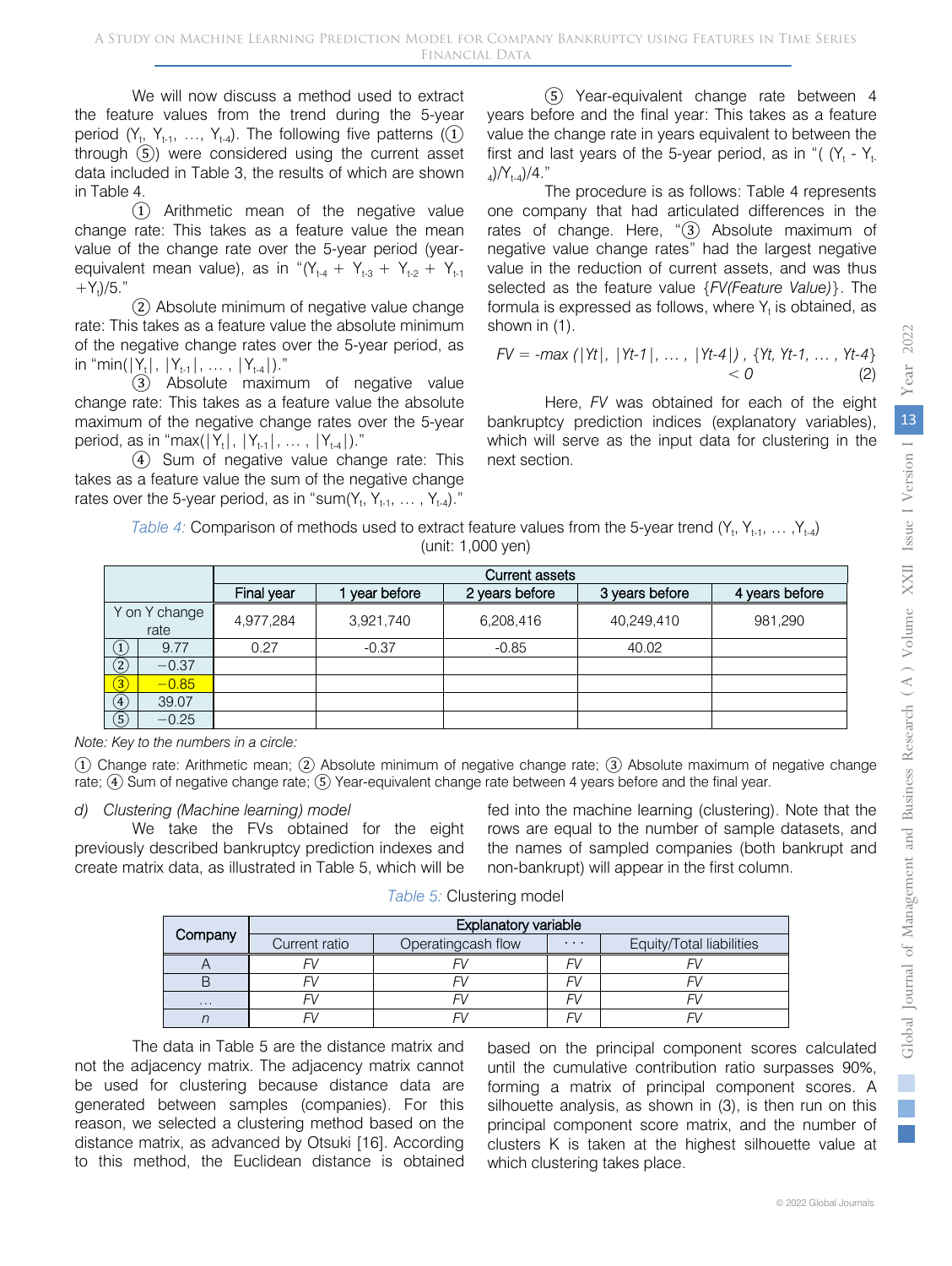We will now discuss a method used to extract the feature values from the trend during the 5-year period  $(Y_t, Y_{t-1}, ..., Y_{t-4})$ . The following five patterns  $(1)$ through ⑤) were considered using the current asset data included in Table 3, the results of which are shown in Table 4.

① Arithmetic mean of the negative value change rate: This takes as a feature value the mean value of the change rate over the 5-year period (yearequivalent mean value), as in " $(Y_{t-4} + Y_{t-3} + Y_{t-2} + Y_{t-1})$  $+Y_t$ )/5."

② Absolute minimum of negative value change rate: This takes as a feature value the absolute minimum of the negative change rates over the 5-year period, as in "min( $|Y_t|, |Y_{t-1}|, ..., |Y_{t-4}|$ )."

③ Absolute maximum of negative value change rate: This takes as a feature value the absolute maximum of the negative change rates over the 5-year period, as in "max $(|Y_t|, |Y_{t-1}|, ..., |Y_{t-4}|)$ ."

④ Sum of negative value change rate: This takes as a feature value the sum of the negative change rates over the 5-year period, as in "sum $(Y_t, Y_{t-1}, \ldots, Y_{t-4})$ ."

⑤ Year-equivalent change rate between 4 years before and the final year: This takes as a feature value the change rate in years equivalent to between the first and last years of the 5-year period, as in "( $(Y_t - Y_t)$  $_{4})/Y_{1-4})/4$ ."

The procedure is as follows: Table 4 represents one company that had articulated differences in the rates of change. Here, "③ Absolute maximum of negative value change rates" had the largest negative value in the reduction of current assets, and was thus selected as the feature value {*FV(Feature Value)*}. The formula is expressed as follows, where  $Y_t$  is obtained, as shown in (1).

$$
FV = -\max(|Yt|, |Yt-1|, ..., |Yt-4|), \{Yt, Yt-1, ..., Yt-4\} < 0
$$
 (2)

Here, *FV* was obtained for each of the eight bankruptcy prediction indices (explanatory variables), which will serve as the input data for clustering in the next section.

| Table 4: Comparison of methods used to extract feature values from the 5-year trend $(Y_t, Y_{t-1}, \ldots, Y_{t-4})$ |
|-----------------------------------------------------------------------------------------------------------------------|
| (unit: 1,000 yen)                                                                                                     |

|                                   |                       | <b>Current assets</b> |             |                |                |                |  |  |
|-----------------------------------|-----------------------|-----------------------|-------------|----------------|----------------|----------------|--|--|
|                                   |                       | Final year            | year before | 2 years before | 3 years before | 4 years before |  |  |
|                                   | Y on Y change<br>rate | 4,977,284             | 3,921,740   | 6,208,416      | 40,249,410     | 981,290        |  |  |
| $\begin{pmatrix} 1 \end{pmatrix}$ | 9.77                  | 0.27                  | $-0.37$     | $-0.85$        | 40.02          |                |  |  |
| $\circled{2}$                     | $-0.37$               |                       |             |                |                |                |  |  |
| $\bigcirc$                        | $-0.85$               |                       |             |                |                |                |  |  |
| $\circled{4}$                     | 39.07                 |                       |             |                |                |                |  |  |
| $\circledS$                       | $-0.25$               |                       |             |                |                |                |  |  |

*Note: Key to the numbers in a circle:*

① Change rate: Arithmetic mean; ② Absolute minimum of negative change rate; ③ Absolute maximum of negative change rate; ④ Sum of negative change rate; ⑤ Year-equivalent change rate between 4 years before and the final year.

#### *d) Clustering (Machine learning) model*

We take the FVs obtained for the eight previously described bankruptcy prediction indexes and create matrix data, as illustrated in Table 5, which will be

fed into the machine learning (clustering). Note that the rows are equal to the number of sample datasets, and the names of sampled companies (both bankrupt and non-bankrupt) will appear in the first column.

|  | Table 5: Clustering model |
|--|---------------------------|
|--|---------------------------|

|          | <b>Explanatory variable</b> |                    |          |                          |  |  |  |
|----------|-----------------------------|--------------------|----------|--------------------------|--|--|--|
| Company  | Current ratio               | Operatingcash flow | $\cdots$ | Equity/Total liabilities |  |  |  |
|          |                             |                    |          |                          |  |  |  |
|          |                             |                    |          |                          |  |  |  |
| $\cdots$ |                             |                    |          |                          |  |  |  |
|          |                             |                    |          |                          |  |  |  |

The data in Table 5 are the distance matrix and not the adjacency matrix. The adjacency matrix cannot be used for clustering because distance data are generated between samples (companies). For this reason, we selected a clustering method based on the distance matrix, as advanced by Otsuki [16]. According to this method, the Euclidean distance is obtained based on the principal component scores calculated until the cumulative contribution ratio surpasses 90%, forming a matrix of principal component scores. A silhouette analysis, as shown in (3), is then run on this principal component score matrix, and the number of clusters K is taken at the highest silhouette value at which clustering takes place.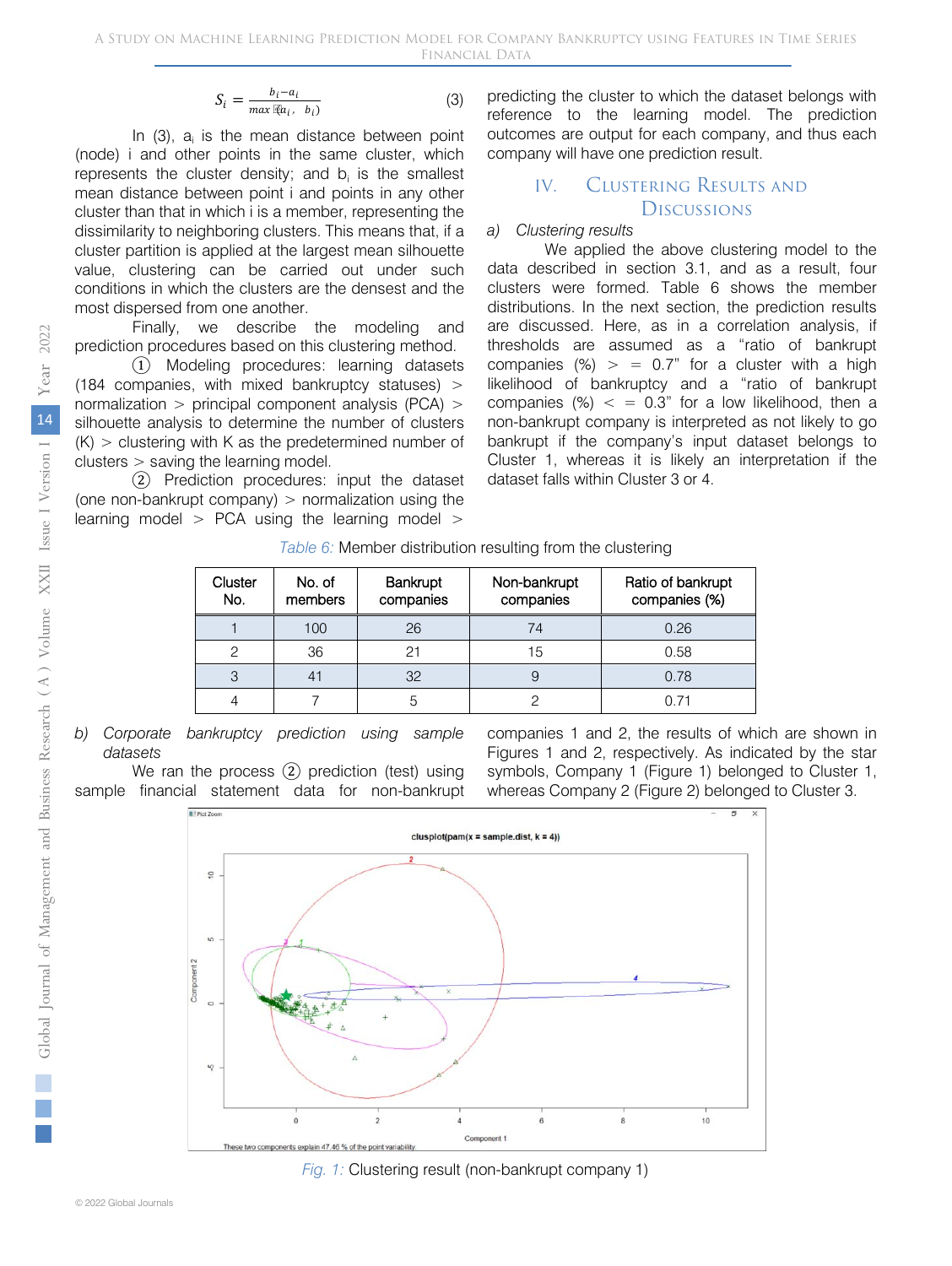$$
S_i = \frac{b_i - a_i}{\max(\mathbb{E}[a_i, b_i])} \tag{3}
$$

In  $(3)$ ,  $a_i$  is the mean distance between point (node) i and other points in the same cluster, which represents the cluster density; and  $b_i$  is the smallest mean distance between point i and points in any other cluster than that in which i is a member, representing the dissimilarity to neighboring clusters. This means that, if a cluster partition is applied at the largest mean silhouette value, clustering can be carried out under such conditions in which the clusters are the densest and the most dispersed from one another.

Finally, we describe the modeling and prediction procedures based on this clustering method.

① Modeling procedures: learning datasets (184 companies, with mixed bankruptcy statuses) > normalization > principal component analysis (PCA) > silhouette analysis to determine the number of clusters  $(K)$  > clustering with K as the predetermined number of clusters > saving the learning model.

② Prediction procedures: input the dataset (one non-bankrupt company)  $>$  normalization using the learning model  $>$  PCA using the learning model  $>$ 

predicting the cluster to which the dataset belongs with reference to the learning model. The prediction outcomes are output for each company, and thus each company will have one prediction result.

## IV. Clustering Results and **Discussions**

#### *a) Clustering results*

We applied the above clustering model to the data described in section 3.1, and as a result, four clusters were formed. Table 6 shows the member distributions. In the next section, the prediction results are discussed. Here, as in a correlation analysis, if thresholds are assumed as a "ratio of bankrupt companies  $(\%)$  > = 0.7" for a cluster with a high likelihood of bankruptcy and a "ratio of bankrupt companies (%)  $<$  = 0.3" for a low likelihood, then a non-bankrupt company is interpreted as not likely to go bankrupt if the company's input dataset belongs to Cluster 1, whereas it is likely an interpretation if the dataset falls within Cluster 3 or 4.

|  | Table 6: Member distribution resulting from the clustering |  |  |
|--|------------------------------------------------------------|--|--|

| Cluster<br>No. | No. of<br>members | <b>Bankrupt</b><br>companies | Non-bankrupt<br>companies | Ratio of bankrupt<br>companies (%) |
|----------------|-------------------|------------------------------|---------------------------|------------------------------------|
|                | 100               | 26                           | 74                        | 0.26                               |
| ◠              | 36                | 21                           | 15                        | 0.58                               |
|                |                   | 32                           |                           | 0.78                               |
|                |                   | 5                            |                           | 0.71                               |

*b) Corporate bankruptcy prediction using sample datasets*

We ran the process (2) prediction (test) using sample financial statement data for non-bankrupt

companies 1 and 2, the results of which are shown in Figures 1 and 2, respectively. As indicated by the star symbols, Company 1 (Figure 1) belonged to Cluster 1, whereas Company 2 (Figure 2) belonged to Cluster 3.



*Fig. 1:* Clustering result (non-bankrupt company 1)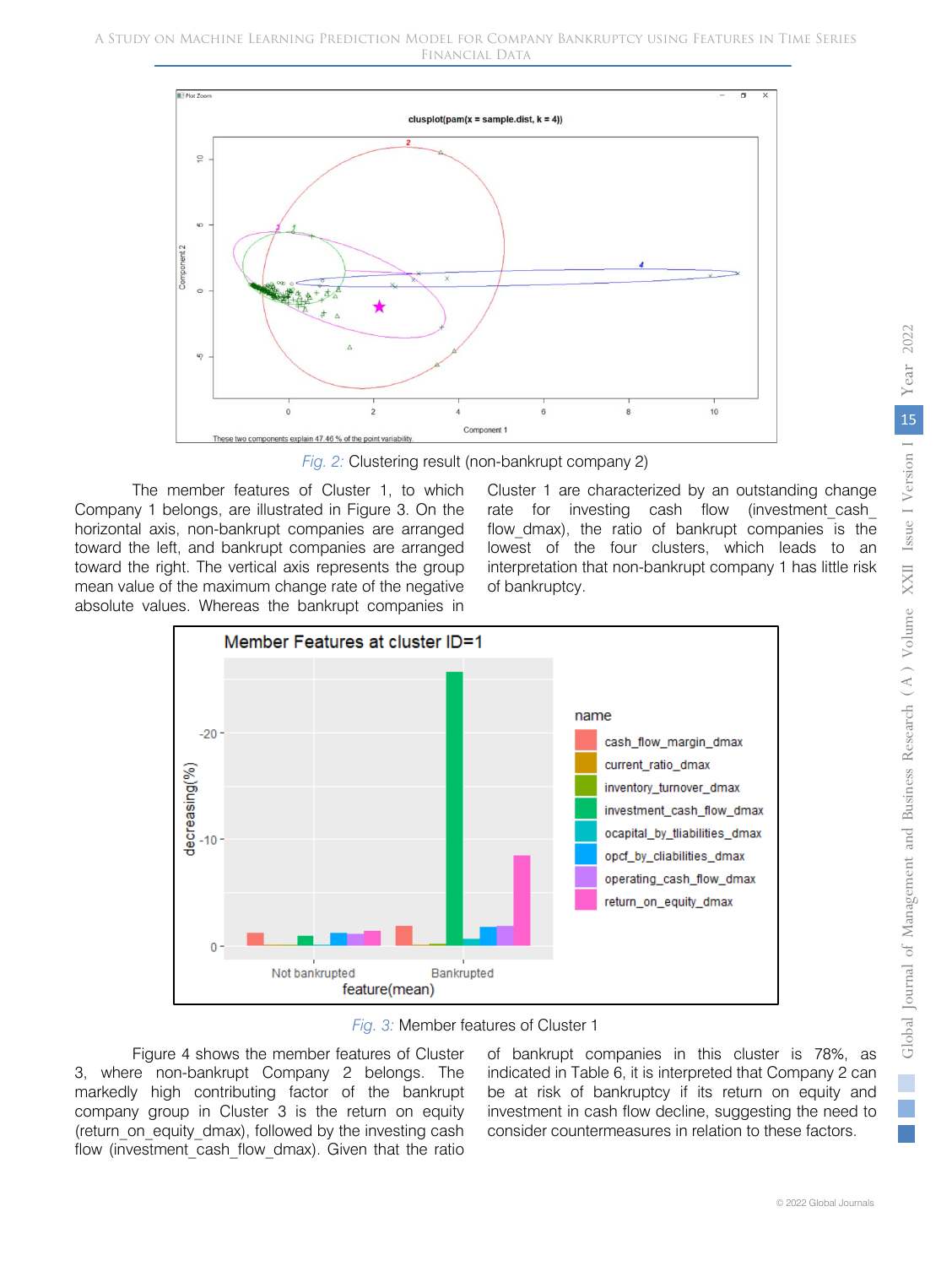

*Fig. 2:* Clustering result (non-bankrupt company 2)

The member features of Cluster 1, to which Company 1 belongs, are illustrated in Figure 3. On the horizontal axis, non-bankrupt companies are arranged toward the left, and bankrupt companies are arranged toward the right. The vertical axis represents the group mean value of the maximum change rate of the negative absolute values. Whereas the bankrupt companies in Cluster 1 are characterized by an outstanding change rate for investing cash flow (investment cash flow dmax), the ratio of bankrupt companies is the lowest of the four clusters, which leads to an interpretation that non-bankrupt company 1 has little risk of bankruptcy.



*Fig. 3:* Member features of Cluster 1

Figure 4 shows the member features of Cluster 3, where non-bankrupt Company 2 belongs. The markedly high contributing factor of the bankrupt company group in Cluster 3 is the return on equity (return on equity dmax), followed by the investing cash flow (investment cash flow dmax). Given that the ratio of bankrupt companies in this cluster is 78%, as indicated in Table 6, it is interpreted that Company 2 can be at risk of bankruptcy if its return on equity and investment in cash flow decline, suggesting the need to consider countermeasures in relation to these factors.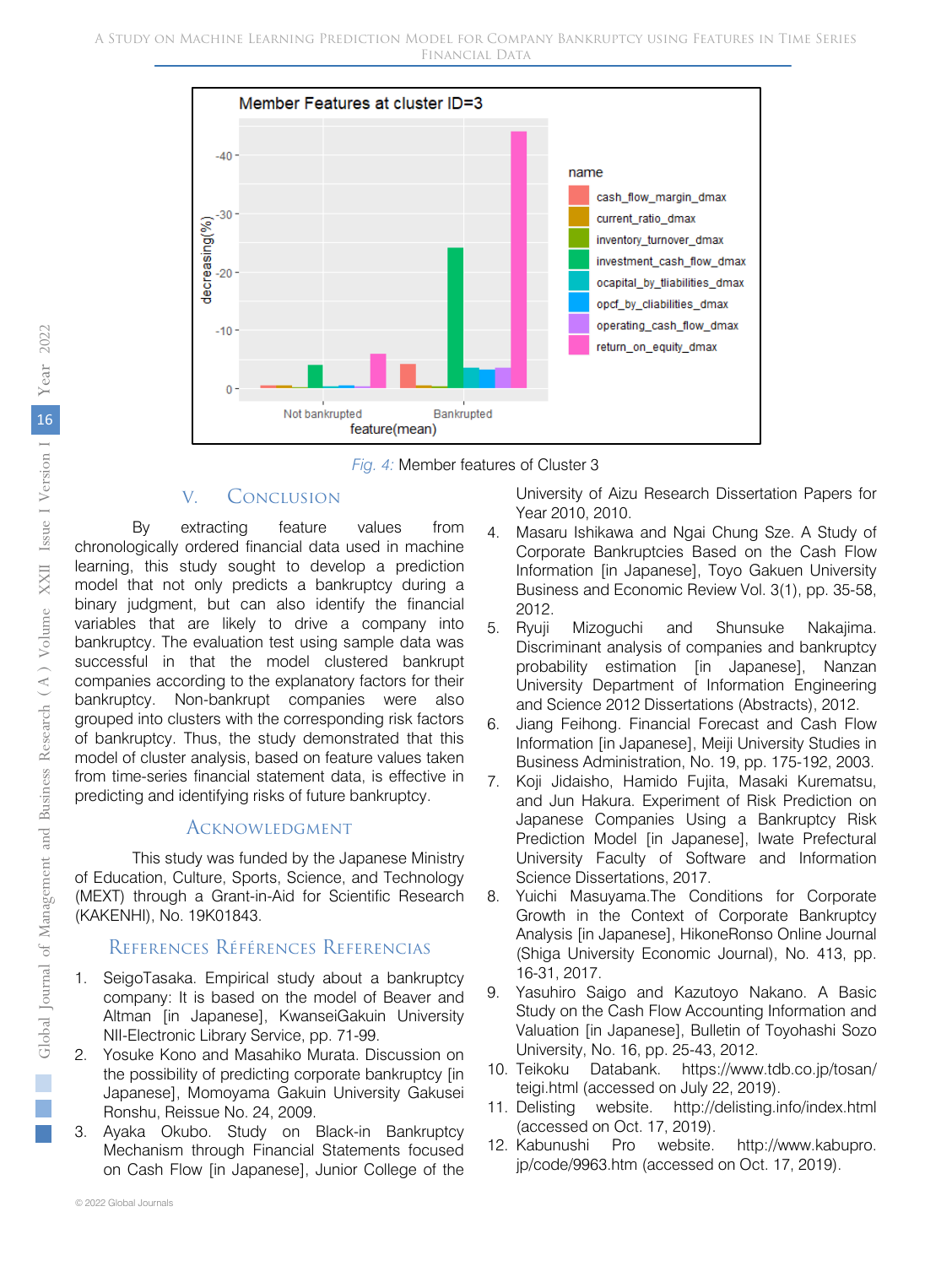

*Fig. 4:* Member features of Cluster 3

## V. Conclusion

By extracting feature values from chronologically ordered financial data used in machine learning, this study sought to develop a prediction model that not only predicts a bankruptcy during a binary judgment, but can also identify the financial variables that are likely to drive a company into bankruptcy. The evaluation test using sample data was successful in that the model clustered bankrupt companies according to the explanatory factors for their bankruptcy. Non-bankrupt companies were also grouped into clusters with the corresponding risk factors of bankruptcy. Thus, the study demonstrated that this model of cluster analysis, based on feature values taken from time-series financial statement data, is effective in predicting and identifying risks of future bankruptcy.

## **ACKNOWLEDGMENT**

This study was funded by the Japanese Ministry of Education, Culture, Sports, Science, and Technology (MEXT) through a Grant-in-Aid for Scientific Research (KAKENHI), No. 19K01843.

## References Références Referencias

- 1. SeigoTasaka. Empirical study about a bankruptcy company: It is based on the model of Beaver and Altman [in Japanese], KwanseiGakuin University NII-Electronic Library Service, pp. 71-99.
- 2. Yosuke Kono and Masahiko Murata. Discussion on the possibility of predicting corporate bankruptcy [in Japanese], Momoyama Gakuin University Gakusei Ronshu, Reissue No. 24, 2009.
- 3. Ayaka Okubo. Study on Black-in Bankruptcy Mechanism through Financial Statements focused on Cash Flow [in Japanese], Junior College of the

University of Aizu Research Dissertation Papers for Year 2010, 2010.

- 4. Masaru Ishikawa and Ngai Chung Sze. A Study of Corporate Bankruptcies Based on the Cash Flow Information [in Japanese], Toyo Gakuen University Business and Economic Review Vol. 3(1), pp. 35-58, 2012.
- 5. Ryuji Mizoguchi and Shunsuke Nakajima. Discriminant analysis of companies and bankruptcy probability estimation [in Japanese], Nanzan University Department of Information Engineering and Science 2012 Dissertations (Abstracts), 2012.
- 6. Jiang Feihong. Financial Forecast and Cash Flow Information [in Japanese], Meiji University Studies in Business Administration, No. 19, pp. 175-192, 2003.
- 7. Koji Jidaisho, Hamido Fujita, Masaki Kurematsu, and Jun Hakura. Experiment of Risk Prediction on Japanese Companies Using a Bankruptcy Risk Prediction Model [in Japanese], Iwate Prefectural University Faculty of Software and Information Science Dissertations, 2017.
- 8. Yuichi Masuyama.The Conditions for Corporate Growth in the Context of Corporate Bankruptcy Analysis [in Japanese], HikoneRonso Online Journal (Shiga University Economic Journal), No. 413, pp. 16-31, 2017.
- 9. Yasuhiro Saigo and Kazutoyo Nakano. A Basic Study on the Cash Flow Accounting Information and Valuation [in Japanese], Bulletin of Toyohashi Sozo University, No. 16, pp. 25-43, 2012.
- 10. Teikoku Databank. https://www.tdb.co.jp/tosan/ teigi.html (accessed on July 22, 2019).
- 11. Delisting website. http://delisting.info/index.html (accessed on Oct. 17, 2019).
- 12. Kabunushi Pro website. http://www.kabupro. jp/code/9963.htm (accessed on Oct. 17, 2019).

© 2022 Global Journals